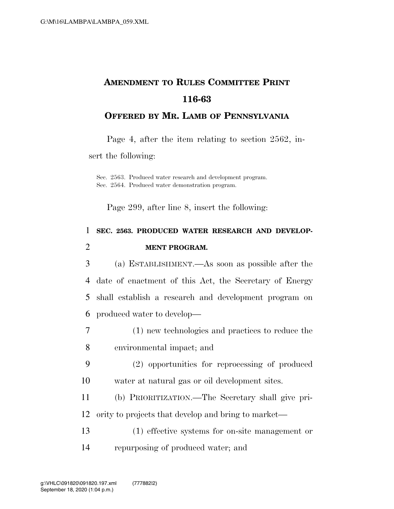# **AMENDMENT TO RULES COMMITTEE PRINT 116-63**

#### **OFFERED BY MR. LAMB OF PENNSYLVANIA**

Page 4, after the item relating to section 2562, in-

sert the following:

Sec. 2563. Produced water research and development program. Sec. 2564. Produced water demonstration program.

Page 299, after line 8, insert the following:

## 1 **SEC. 2563. PRODUCED WATER RESEARCH AND DEVELOP-**2 **MENT PROGRAM.**

 (a) ESTABLISHMENT.—As soon as possible after the date of enactment of this Act, the Secretary of Energy shall establish a research and development program on produced water to develop—

- 7 (1) new technologies and practices to reduce the 8 environmental impact; and
- 9 (2) opportunities for reprocessing of produced
- 10 water at natural gas or oil development sites.
- 11 (b) PRIORITIZATION.—The Secretary shall give pri-12 ority to projects that develop and bring to market—
- 13 (1) effective systems for on-site management or 14 repurposing of produced water; and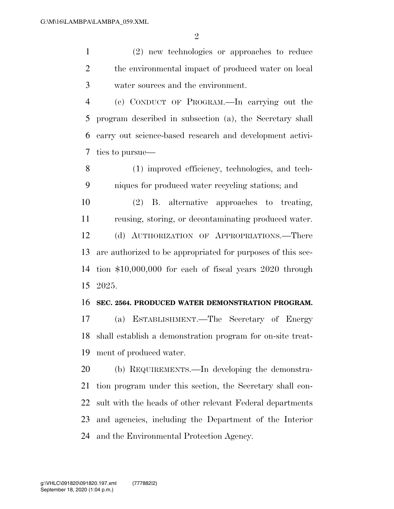(2) new technologies or approaches to reduce 2 the environmental impact of produced water on local water sources and the environment.

 (c) CONDUCT OF PROGRAM.—In carrying out the program described in subsection (a), the Secretary shall carry out science-based research and development activi-ties to pursue—

 (1) improved efficiency, technologies, and tech-niques for produced water recycling stations; and

 (2) B. alternative approaches to treating, reusing, storing, or decontaminating produced water. (d) AUTHORIZATION OF APPROPRIATIONS.—There are authorized to be appropriated for purposes of this sec- tion \$10,000,000 for each of fiscal years 2020 through 2025.

#### **SEC. 2564. PRODUCED WATER DEMONSTRATION PROGRAM.**

 (a) ESTABLISHMENT.—The Secretary of Energy shall establish a demonstration program for on-site treat-ment of produced water.

 (b) REQUIREMENTS.—In developing the demonstra- tion program under this section, the Secretary shall con- sult with the heads of other relevant Federal departments and agencies, including the Department of the Interior and the Environmental Protection Agency.